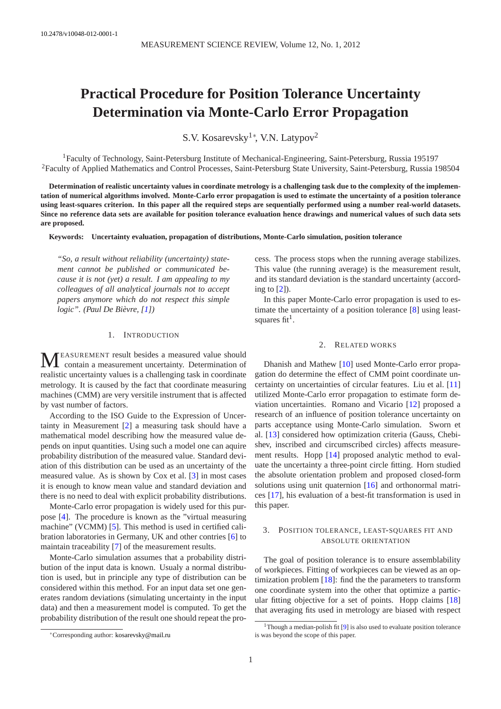# **Practical Procedure for Position Tolerance Uncertainty Determination via Monte-Carlo Error Propagation**

S.V. Kosarevsky<sup>1</sup><sup>\*</sup>, V.N. Latypov<sup>2</sup>

<sup>1</sup> Faculty of Technology, Saint-Petersburg Institute of Mechanical-Engineering, Saint-Petersburg, Russia 195197 <sup>2</sup>Faculty of Applied Mathematics and Control Processes, Saint-Petersburg State University, Saint-Petersburg, Russia 198504

**Determination of realistic uncertainty values in coordinate metrology is a challenging task due to the complexity of the implementation of numerical algorithms involved. Monte-Carlo error propagation is used to estimate the uncertainty of a position tolerance using least-squares criterion. In this paper all the required steps are sequentially performed using a number real-world datasets. Since no reference data sets are available for position tolerance evaluation hence drawings and numerical values of such data sets are proposed.**

**Keywords: Uncertainty evaluation, propagation of distributions, Monte-Carlo simulation, position tolerance**

*"So, a result without reliability (uncertainty) statement cannot be published or communicated because it is not (yet) a result. I am appealing to my colleagues of all analytical journals not to accept papers anymore which do not respect this simple logic". (Paul De Bièvre, [\[1\]](#page-3-0))*

# 1. INTRODUCTION

M EASUREMENT result besides a measured value should contain a measurement uncertainty. Determination of realistic uncertainty values is a challenging task in coordinate metrology. It is caused by the fact that coordinate measuring machines (CMM) are very versitile instrument that is affected by vast number of factors.

According to the ISO Guide to the Expression of Uncertainty in Measurement [\[2\]](#page-3-1) a measuring task should have a mathematical model describing how the measured value depends on input quantities. Using such a model one can aquire probability distribution of the measured value. Standard deviation of this distribution can be used as an uncertainty of the measured value. As is shown by Cox et al. [\[3\]](#page-5-0) in most cases it is enough to know mean value and standard deviation and there is no need to deal with explicit probability distributions.

Monte-Carlo error propagation is widely used for this purpose [\[4\]](#page-5-1). The procedure is known as the "virtual measuring machine" (VCMM) [\[5\]](#page-5-2). This method is used in certified calibration laboratories in Germany, UK and other contries [\[6\]](#page-5-3) to maintain traceability [\[7\]](#page-5-4) of the measurement results.

Monte-Carlo simulation assumes that a probability distribution of the input data is known. Usualy a normal distribution is used, but in principle any type of distribution can be considered within this method. For an input data set one generates random deviations (simulating uncertainty in the input data) and then a measurement model is computed. To get the probability distribution of the result one should repeat the pro-

cess. The process stops when the running average stabilizes. This value (the running average) is the measurement result, and its standard deviation is the standard uncertainty (according to  $[2]$ ).

In this paper Monte-Carlo error propagation is used to estimate the uncertainty of a position tolerance [\[8\]](#page-5-5) using leastsquares  $fit<sup>1</sup>$  $fit<sup>1</sup>$  $fit<sup>1</sup>$ .

## 2. RELATED WORKS

Dhanish and Mathew [\[10\]](#page-5-6) used Monte-Carlo error propagation do determine the effect of CMM point coordinate uncertainty on uncertainties of circular features. Liu et al. [\[11\]](#page-5-7) utilized Monte-Carlo error propagation to estimate form deviation uncertainties. Romano and Vicario [\[12\]](#page-5-8) proposed a research of an influence of position tolerance uncertainty on parts acceptance using Monte-Carlo simulation. Sworn et al. [\[13\]](#page-5-9) considered how optimization criteria (Gauss, Chebishev, inscribed and circumscribed circles) affects measurement results. Hopp [\[14\]](#page-5-10) proposed analytic method to evaluate the uncertainty a three-point circle fitting. Horn studied the absolute orientation problem and proposed closed-form solutions using unit quaternion [\[16\]](#page-5-11) and orthonormal matrices [\[17\]](#page-5-12), his evaluation of a best-fit transformation is used in this paper.

# 3. POSITION TOLERANCE, LEAST-SOUARES FIT AND ABSOLUTE ORIENTATION

The goal of position tolerance is to ensure assemblability of workpieces. Fitting of workpieces can be viewed as an optimization problem [\[18\]](#page-5-13): find the the parameters to transform one coordinate system into the other that optimize a particular fitting objective for a set of points. Hopp claims [\[18\]](#page-5-13) that averaging fits used in metrology are biased with respect

<sup>∗</sup>Corresponding author: [kosarevsky@mail.ru](mailto:kosarevsky@mail.ru)

<span id="page-0-0"></span><sup>&</sup>lt;sup>1</sup>Though a median-polish fit [\[9\]](#page-5-14) is also used to evaluate position tolerance is was beyond the scope of this paper.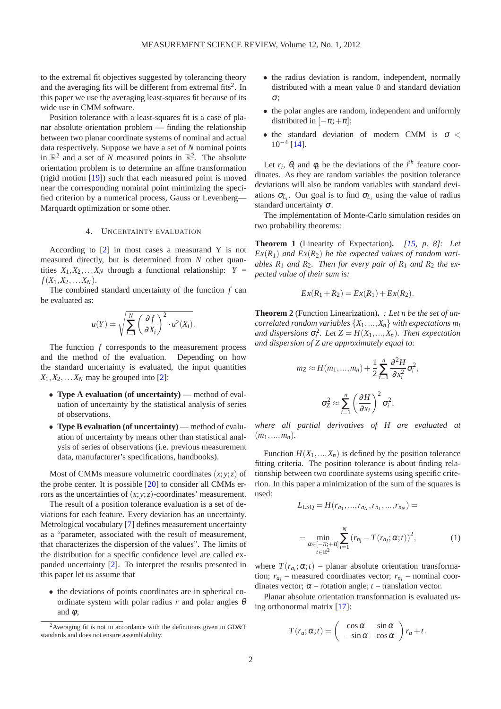to the extremal fit objectives suggested by tolerancing theory and the averaging fits will be different from extremal fits<sup>[2](#page-1-0)</sup>. In this paper we use the averaging least-squares fit because of its wide use in CMM software.

Position tolerance with a least-squares fit is a case of planar absolute orientation problem — finding the relationship between two planar coordinate systems of nominal and actual data respectively. Suppose we have a set of *N* nominal points in  $\mathbb{R}^2$  and a set of N measured points in  $\mathbb{R}^2$ . The absolute orientation problem is to determine an affine transformation (rigid motion [\[19\]](#page-5-15)) such that each measured point is moved near the corresponding nominal point minimizing the specified criterion by a numerical process, Gauss or Levenberg— Marquardt optimization or some other.

## 4. UNCERTAINTY EVALUATION

According to [\[2\]](#page-3-1) in most cases a measurand Y is not measured directly, but is determined from *N* other quantities  $X_1, X_2, \ldots X_N$  through a functional relationship:  $Y =$  $f(X_1, X_2, \ldots, X_N)$ .

The combined standard uncertainty of the function *f* can be evaluated as:

$$
u(Y) = \sqrt{\sum_{i=1}^{N} \left(\frac{\partial f}{\partial X_i}\right)^2 \cdot u^2(X_i)}.
$$

The function *f* corresponds to the measurement process and the method of the evaluation. Depending on how the standard uncertainty is evaluated, the input quantities  $X_1, X_2, \ldots X_N$  may be grouped into [\[2\]](#page-3-1):

- **Type A evaluation (of uncertainty)** method of evaluation of uncertainty by the statistical analysis of series of observations.
- **Type B evaluation (of uncertainty)** method of evaluation of uncertainty by means other than statistical analysis of series of observations (i.e. previous measurement data, manufacturer's specifications, handbooks).

Most of CMMs measure volumetric coordinates  $(x, y, z)$  of the probe center. It is possible [\[20\]](#page-5-16) to consider all CMMs errors as the uncertainties of  $(x, y, z)$ -coordinates' measurement.

The result of a position tolerance evaluation is a set of deviations for each feature. Every deviation has an uncertainty. Metrological vocabulary [\[7\]](#page-5-4) defines measurement uncertainty as a "parameter, associated with the result of measurement, that characterizes the dispersion of the values". The limits of the distribution for a specific confidence level are called expanded uncertainty [\[2\]](#page-3-1). To interpret the results presented in this paper let us assume that

• the deviations of points coordinates are in spherical coordinate system with polar radius  $r$  and polar angles  $\theta$ and  $\phi$ ;

- the radius deviation is random, independent, normally distributed with a mean value 0 and standard deviation σ;
- the polar angles are random, independent and uniformly distributed in  $[-\pi; +\pi]$ ;
- the standard deviation of modern CMM is  $\sigma$  < 10−<sup>4</sup> [\[14\]](#page-5-10).

Let  $r_i$ ,  $\theta_i$  and  $\phi_i$  be the deviations of the *i*<sup>th</sup> feature coordinates. As they are random variables the position tolerance deviations will also be random variables with standard deviations  $\sigma_{L_i}$ . Our goal is to find  $\sigma_{L_i}$  using the value of radius standard uncertainty  $\sigma$ .

The implementation of Monte-Carlo simulation resides on two probability theorems:

**Theorem 1** (Linearity of Expectation)**.** *[\[15,](#page-5-17) p. 8]: Let*  $Ex(R_1)$  *and*  $Ex(R_2)$  *be the expected values of random variables*  $R_1$  *and*  $R_2$ *. Then for every pair of*  $R_1$  *and*  $R_2$  *the expected value of their sum is:*

$$
Ex(R_1 + R_2) = Ex(R_1) + Ex(R_2).
$$

**Theorem 2** (Function Linearization)**.** *: Let n be the set of uncorrelated random variables*  $\{X_1, \ldots, X_n\}$  *with expectations*  $m_i$ *and dispersions*  $\sigma_i^2$ *. Let*  $Z = H(X_1, ..., X_n)$ *. Then expectation and dispersion of Z are approximately equal to:*

$$
m_Z \approx H(m_1, ..., m_n) + \frac{1}{2} \sum_{i=1}^n \frac{\partial^2 H}{\partial x_i^2} \sigma_i^2,
$$

$$
\sigma_Z^2 \approx \sum_{i=1}^n \left(\frac{\partial H}{\partial x_i}\right)^2 \sigma_i^2,
$$

*where all partial derivatives of H are evaluated at*  $(m_1, ..., m_n)$ .

Function  $H(X_1,...,X_n)$  is defined by the position tolerance fitting criteria. The position tolerance is about finding relationship between two coordinate systems using specific criterion. In this paper a minimization of the sum of the squares is used:

<span id="page-1-1"></span>
$$
L_{LSQ} = H(r_{a_1}, ..., r_{a_N}, r_{n_1}, ..., r_{n_N}) =
$$
  
= 
$$
\min_{\substack{\alpha \in [-\pi; +\pi] \\ t \in \mathbb{R}^2}} \sum_{i=1}^N (r_{n_i} - T(r_{a_i}; \alpha; t))^2,
$$
 (1)

where  $T(r_{a_i}; \alpha; t)$  – planar absolute orientation transformation;  $r_{a_i}$  – measured coordinates vector;  $r_{n_i}$  – nominal coordinates vector;  $\alpha$  – rotation angle;  $t$  – translation vector.

Planar absolute orientation transformation is evaluated using orthonormal matrix [\[17\]](#page-5-12):

$$
T(r_a; \alpha; t) = \begin{pmatrix} \cos \alpha & \sin \alpha \\ -\sin \alpha & \cos \alpha \end{pmatrix} r_a + t.
$$

<span id="page-1-0"></span><sup>&</sup>lt;sup>2</sup> Averaging fit is not in accordance with the definitions given in GD&T standards and does not ensure assemblability.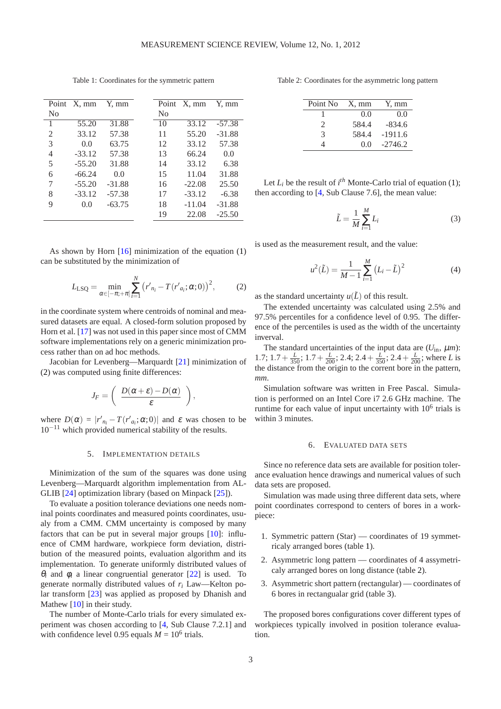|                | Point X, mm | Y, mm    |    | Point X, mm | Y, mm    |
|----------------|-------------|----------|----|-------------|----------|
| N <sub>0</sub> |             |          | No |             |          |
| $\mathbf{1}$   | 55.20       | 31.88    | 10 | 33.12       | $-57.38$ |
| 2              | 33.12       | 57.38    | 11 | 55.20       | $-31.88$ |
| 3              | 0.0         | 63.75    | 12 | 33.12       | 57.38    |
| 4              | $-33.12$    | 57.38    | 13 | 66.24       | 0.0      |
| 5              | $-55.20$    | 31.88    | 14 | 33.12       | 6.38     |
| 6              | $-66.24$    | 0.0      | 15 | 11.04       | 31.88    |
| 7              | $-55.20$    | $-31.88$ | 16 | $-22.08$    | 25.50    |
| 8              | $-33.12$    | $-57.38$ | 17 | $-33.12$    | $-6.38$  |
| 9              | 0.0         | $-63.75$ | 18 | $-11.04$    | $-31.88$ |
|                |             |          | 19 | 22.08       | $-25.50$ |

<span id="page-2-1"></span>Table 1: Coordinates for the symmetric pattern

As shown by Horn  $[16]$  minimization of the equation  $(1)$ can be substituted by the minimization of

$$
L_{\text{LSQ}} = \min_{\alpha \in [-\pi; +\pi]} \sum_{i=1}^{N} (r'_{n_i} - T(r'_{a_i}; \alpha; 0))^2, \tag{2}
$$

in the coordinate system where centroids of nominal and measured datasets are equal. A closed-form solution proposed by Horn et al. [\[17\]](#page-5-12) was not used in this paper since most of CMM software implementations rely on a generic minimization process rather than on ad hoc methods.

Jacobian for Levenberg—Marquardt [\[21\]](#page-5-18) minimization of [\(2\)](#page-2-0) was computed using finite differences:

$$
J_F = \left( \begin{array}{c} D(\alpha + \varepsilon) - D(\alpha) \\ \varepsilon \end{array} \right),
$$

where  $D(\alpha) = |r'_{n_i} - T(r'_{a_i}; \alpha; 0)|$  and  $\varepsilon$  was chosen to be 10−<sup>11</sup> which provided numerical stability of the results.

#### 5. IMPLEMENTATION DETAILS

Minimization of the sum of the squares was done using Levenberg—Marquardt algorithm implementation from AL-GLIB [\[24\]](#page-5-19) optimization library (based on Minpack [\[25\]](#page-6-0)).

To evaluate a position tolerance deviations one needs nominal points coordinates and measured points coordinates, usualy from a CMM. CMM uncertainty is composed by many factors that can be put in several major groups [\[10\]](#page-5-6): influence of CMM hardware, workpiece form deviation, distribution of the measured points, evaluation algorithm and its implementation. To generate uniformly distributed values of  $\theta_i$  and  $\phi_i$  a linear congruential generator [\[22\]](#page-5-20) is used. To generate normally distributed values of *r<sup>i</sup>* Law—Kelton polar transform [\[23\]](#page-5-21) was applied as proposed by Dhanish and Mathew [\[10\]](#page-5-6) in their study.

The number of Monte-Carlo trials for every simulated experiment was chosen according to [\[4,](#page-5-1) Sub Clause 7.2.1] and with confidence level 0.95 equals  $M = 10^6$  trials.

<span id="page-2-2"></span>Table 2: Coordinates for the asymmetric long pattern

| Point No                    | $X$ , mm | Y, mm     |
|-----------------------------|----------|-----------|
|                             | 0.0      | 0.0       |
| $\mathcal{D}_{\mathcal{L}}$ | 584.4    | $-834.6$  |
| 3                           | 584.4    | $-1911.6$ |
|                             | 0.0      | $-2746.2$ |

Let  $L_i$  be the result of  $i^{th}$  Monte-Carlo trial of equation [\(1\)](#page-1-1); then according to [\[4,](#page-5-1) Sub Clause 7.6], the mean value:

$$
\tilde{L} = \frac{1}{M} \sum_{i=1}^{M} L_i
$$
\n(3)

<span id="page-2-0"></span>is used as the measurement result, and the value:

$$
u^{2}(\tilde{L}) = \frac{1}{M-1} \sum_{i=1}^{M} (L_{i} - \tilde{L})^{2}
$$
 (4)

as the standard uncertainty  $u(\tilde{L})$  of this result.

The extended uncertainty was calculated using 2.5% and 97.5% percentiles for a confidence level of 0.95. The difference of the percentiles is used as the width of the uncertainty inverval.

The standard uncertainties of the input data are  $(U_{in}, \mu m)$ : 1.7;  $1.7 + \frac{L}{350}$ ;  $1.7 + \frac{L}{200}$ ;  $2.4$ ;  $2.4 + \frac{L}{350}$ ;  $2.4 + \frac{L}{200}$ ; where *L* is the distance from the origin to the corrent bore in the pattern, *mm*.

Simulation software was written in Free Pascal. Simulation is performed on an Intel Core i7 2.6 GHz machine. The runtime for each value of input uncertainty with  $10^6$  trials is within 3 minutes.

# 6. EVALUATED DATA SETS

Since no reference data sets are available for position tolerance evaluation hence drawings and numerical values of such data sets are proposed.

Simulation was made using three different data sets, where point coordinates correspond to centers of bores in a workpiece:

- 1. Symmetric pattern (Star) coordinates of 19 symmetricaly arranged bores (table [1\)](#page-2-1).
- 2. Asymmetric long pattern coordinates of 4 assymetricaly arranged bores on long distance (table [2\)](#page-2-2).
- 3. Asymmetric short pattern (rectangular) coordinates of 6 bores in rectangualar grid (table [3\)](#page-3-2).

The proposed bores configurations cover different types of workpieces typically involved in position tolerance evaluation.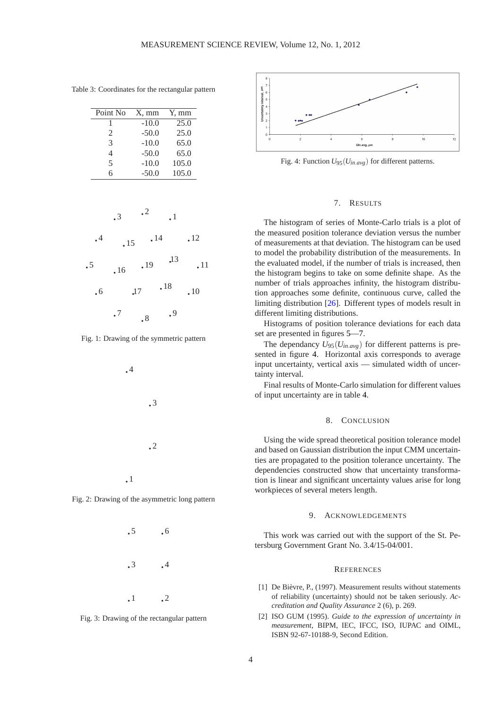<span id="page-3-2"></span>Table 3: Coordinates for the rectangular pattern

| Point No       | $X, \, \text{mm}$ | Y, mm |
|----------------|-------------------|-------|
|                | $-10.0$           | 25.0  |
| $\mathfrak{D}$ | $-50.0$           | 25.0  |
| $\mathcal{R}$  | $-10.0$           | 65.0  |
| 4              | $-50.0$           | 65.0  |
| $\overline{5}$ | $-10.0$           | 105.0 |
| 6              | $-50.0$           | 105.0 |



Fig. 1: Drawing of the symmetric pattern



Fig. 2: Drawing of the asymmetric long pattern





<span id="page-3-3"></span>

Fig. 4: Function *U*95(*Uin*.*avg*) for different patterns.

## 7. RESULTS

The histogram of series of Monte-Carlo trials is a plot of the measured position tolerance deviation versus the number of measurements at that deviation. The histogram can be used to model the probability distribution of the measurements. In the evaluated model, if the number of trials is increased, then the histogram begins to take on some definite shape. As the number of trials approaches infinity, the histogram distribution approaches some definite, continuous curve, called the limiting distribution [\[26\]](#page-6-1). Different types of models result in different limiting distributions.

Histograms of position tolerance deviations for each data set are presented in figures [5](#page-4-0)[—7.](#page-4-1)

The dependancy  $U_{95}(U_{in.avg})$  for different patterns is presented in figure [4.](#page-3-3) Horizontal axis corresponds to average input uncertainty, vertical axis — simulated width of uncertainty interval.

Final results of Monte-Carlo simulation for different values of input uncertainty are in table [4.](#page-5-22)

#### 8. CONCLUSION

Using the wide spread theoretical position tolerance model and based on Gaussian distribution the input CMM uncertainties are propagated to the position tolerance uncertainty. The dependencies constructed show that uncertainty transformation is linear and significant uncertainty values arise for long workpieces of several meters length.

### 9. ACKNOWLEDGEMENTS

This work was carried out with the support of the St. Petersburg Government Grant No. 3.4/15-04/001.

#### **REFERENCES**

- <span id="page-3-0"></span>[1] De Bièvre, P., (1997). Measurement results without statements of reliability (uncertainty) should not be taken seriously. *Accreditation and Quality Assurance* 2 (6), p. 269.
- <span id="page-3-1"></span>[2] ISO GUM (1995). *Guide to the expression of uncertainty in measurement*, BIPM, IEC, IFCC, ISO, IUPAC and OIML, ISBN 92-67-10188-9, Second Edition.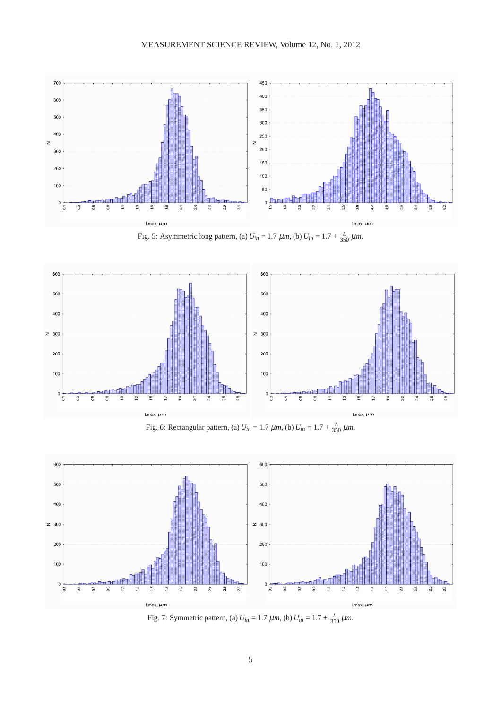<span id="page-4-0"></span>

Fig. 5: Asymmetric long pattern, (a)  $U_{in} = 1.7 \ \mu m$ , (b)  $U_{in} = 1.7 + \frac{L}{350} \mu m$ .



Fig. 6: Rectangular pattern, (a)  $U_{in} = 1.7 \ \mu m$ , (b)  $U_{in} = 1.7 + \frac{L}{350} \ \mu m$ .

<span id="page-4-1"></span>

Fig. 7: Symmetric pattern, (a)  $U_{in} = 1.7 \ \mu m$ , (b)  $U_{in} = 1.7 + \frac{L}{350} \mu m$ .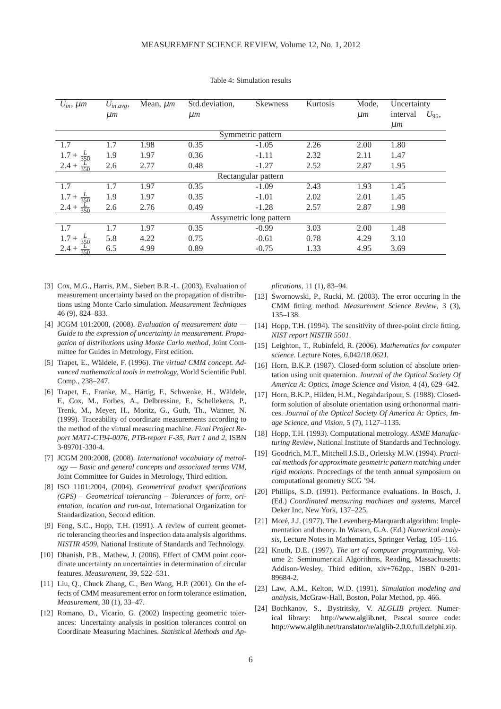<span id="page-5-22"></span>

| $U_{in}$ , $\mu$ m       | $U_{in. avg},$ | Mean, $\mu$ <i>m</i> | Std.deviation, | <b>Skewness</b> | Kurtosis | Mode,          | Uncertainty            |  |
|--------------------------|----------------|----------------------|----------------|-----------------|----------|----------------|------------------------|--|
|                          | $\mu$ m        |                      | $\mu$ <i>m</i> |                 |          | $\mu$ <i>m</i> | interval<br>$U_{95}$ , |  |
|                          |                |                      |                |                 |          |                | $\mu$ <i>m</i>         |  |
| Symmetric pattern        |                |                      |                |                 |          |                |                        |  |
| 1.7                      | 1.7            | 1.98                 | 0.35           | $-1.05$         | 2.26     | 2.00           | 1.80                   |  |
|                          | 1.9            | 1.97                 | 0.36           | $-1.11$         | 2.32     | 2.11           | 1.47                   |  |
| $2.4 +$                  | 2.6            | 2.77                 | 0.48           | $-1.27$         | 2.52     | 2.87           | 1.95                   |  |
| Rectangular pattern      |                |                      |                |                 |          |                |                        |  |
| 1.7                      | 1.7            | 1.97                 | 0.35           | $-1.09$         | 2.43     | 1.93           | 1.45                   |  |
| 1.7<br>$rac{L}{350}$     | 1.9            | 1.97                 | 0.35           | $-1.01$         | 2.02     | 2.01           | 1.45                   |  |
| $2.4 +$<br>$rac{L}{350}$ | 2.6            | 2.76                 | 0.49           | $-1.28$         | 2.57     | 2.87           | 1.98                   |  |
| Assymetric long pattern  |                |                      |                |                 |          |                |                        |  |
| 1.7                      | 1.7            | 1.97                 | 0.35           | $-0.99$         | 3.03     | 2.00           | 1.48                   |  |
|                          | 5.8            | 4.22                 | 0.75           | $-0.61$         | 0.78     | 4.29           | 3.10                   |  |
| $2.4 +$                  | 6.5            | 4.99                 | 0.89           | $-0.75$         | 1.33     | 4.95           | 3.69                   |  |

Table 4: Simulation results

- <span id="page-5-0"></span>[3] Cox, M.G., Harris, P.M., Siebert B.R.-L. (2003). Evaluation of measurement uncertainty based on the propagation of distributions using Monte Carlo simulation. *Measurement Techniques* 46 (9), 824–833.
- <span id="page-5-1"></span>[4] JCGM 101:2008, (2008). *Evaluation of measurement data — Guide to the expression of uncertainty in measurement. Propagation of distributions using Monte Carlo method*, Joint Committee for Guides in Metrology, First edition.
- <span id="page-5-2"></span>[5] Trapet, E., Wäldele, F. (1996). *The virtual CMM concept. Advanced mathematical tools in metrology*, World Scientific Publ. Comp., 238–247.
- <span id="page-5-3"></span>[6] Trapet, E., Franke, M., Härtig, F., Schwenke, H., Wäldele, F., Cox, M., Forbes, A., Delbressine, F., Schellekens, P., Trenk, M., Meyer, H., Moritz, G., Guth, Th., Wanner, N. (1999). Traceability of coordinate measurements according to the method of the virtual measuring machine. *Final Project Report MAT1-CT94-0076, PTB-report F-35, Part 1 and 2*, ISBN 3-89701-330-4.
- <span id="page-5-4"></span>[7] JCGM 200:2008, (2008). *International vocabulary of metrology — Basic and general concepts and associated terms VIM*, Joint Committee for Guides in Metrology, Third edition.
- <span id="page-5-5"></span>[8] ISO 1101:2004, (2004). *Geometrical product specifications (GPS) – Geometrical tolerancing – Tolerances of form, orientation, location and run-out*, International Organization for Standardization, Second edition.
- <span id="page-5-14"></span>[9] Feng, S.C., Hopp, T.H. (1991). A review of current geometric tolerancing theories and inspection data analysis algorithms. *NISTIR 4509*, National Institute of Standards and Technology.
- <span id="page-5-6"></span>[10] Dhanish, P.B., Mathew, J. (2006). Effect of CMM point coordinate uncertainty on uncertainties in determination of circular features. *Measurement*, 39, 522–531.
- <span id="page-5-7"></span>[11] Liu, Q., Chuck Zhang, C., Ben Wang, H.P. (2001). On the effects of CMM measurement error on form tolerance estimation, *Measurement*, 30 (1), 33–47.
- <span id="page-5-8"></span>[12] Romano, D., Vicario, G. (2002) Inspecting geometric tolerances: Uncertainty analysis in position tolerances control on Coordinate Measuring Machines. *Statistical Methods and Ap-*

*plications*, 11 (1), 83–94.

- <span id="page-5-9"></span>[13] Swornowski, P., Rucki, M. (2003). The error occuring in the CMM fitting method. *Measurement Science Review*, 3 (3), 135–138.
- <span id="page-5-10"></span>[14] Hopp, T.H. (1994). The sensitivity of three-point circle fitting. *NIST report NISTIR 5501*.
- <span id="page-5-17"></span>[15] Leighton, T., Rubinfeld, R. (2006). *Mathematics for computer science*. Lecture Notes, 6.042/18.062J.
- <span id="page-5-11"></span>[16] Horn, B.K.P. (1987). Closed-form solution of absolute orientation using unit quaternion. *Journal of the Optical Society Of America A: Optics, Image Science and Vision*, 4 (4), 629–642.
- <span id="page-5-12"></span>[17] Horn, B.K.P., Hilden, H.M., Negahdaripour, S. (1988). Closedform solution of absolute orientation using orthonormal matrices. *Journal of the Optical Society Of America A: Optics, Image Science, and Vision*, 5 (7), 1127–1135.
- <span id="page-5-13"></span>[18] Hopp, T.H. (1993). Computational metrology. *ASME Manufacturing Review*, National Institute of Standards and Technology.
- <span id="page-5-15"></span>[19] Goodrich, M.T., Mitchell J.S.B., Orletsky M.W. (1994). *Practical methods for approximate geometric pattern matching under rigid motions*. Proceedings of the tenth annual symposium on computational geometry SCG '94.
- <span id="page-5-16"></span>[20] Phillips, S.D. (1991). Performance evaluations. In Bosch, J. (Ed.) *Coordinated measuring machines and systems*, Marcel Deker Inc, New York, 137–225.
- <span id="page-5-18"></span>[21] Moré, J.J. (1977). The Levenberg-Marquardt algorithm: Implementation and theory. In Watson, G.A. (Ed.) *Numerical analysis*, Lecture Notes in Mathematics, Springer Verlag, 105–116.
- <span id="page-5-20"></span>[22] Knuth, D.E. (1997). *The art of computer programming*, Volume 2: Seminumerical Algorithms, Reading, Massachusetts: Addison-Wesley, Third edition, xiv+762pp., ISBN 0-201- 89684-2.
- <span id="page-5-21"></span>[23] Law, A.M., Kelton, W.D. (1991). *Simulation modeling and analysis*, McGraw-Hall, Boston, Polar Method, pp. 466.
- <span id="page-5-19"></span>[24] Bochkanov, S., Bystritsky, V. *ALGLIB project*. Numerical library: [http://www.alglib.net,](http://www.alglib.net) Pascal source code: [http://www.alglib.net/translator/re/alglib-2.0.0.full.delphi.zip.](http://www.alglib.net/translator/re/alglib-2.0.0.full.delphi.zip)